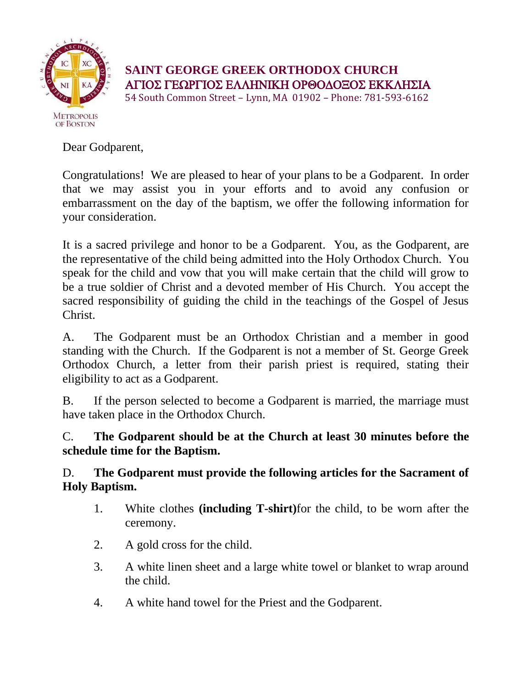

**SAINT GEORGE GREEK ORTHODOX CHURCH** ΑΓΙΟΣ ΓΕΩΡΓΙΟΣ ΕΛΛΗΝΙΚΗ ΟΡΘΟΔΟΞΟΣ ΕΚΚΛΗΣΙΑ

54 South Common Street – Lynn, MA 01902 – Phone: 781-593-6162

Dear Godparent,

Congratulations! We are pleased to hear of your plans to be a Godparent. In order that we may assist you in your efforts and to avoid any confusion or embarrassment on the day of the baptism, we offer the following information for your consideration.

It is a sacred privilege and honor to be a Godparent. You, as the Godparent, are the representative of the child being admitted into the Holy Orthodox Church. You speak for the child and vow that you will make certain that the child will grow to be a true soldier of Christ and a devoted member of His Church. You accept the sacred responsibility of guiding the child in the teachings of the Gospel of Jesus Christ.

A. The Godparent must be an Orthodox Christian and a member in good standing with the Church. If the Godparent is not a member of St. George Greek Orthodox Church, a letter from their parish priest is required, stating their eligibility to act as a Godparent.

B. If the person selected to become a Godparent is married, the marriage must have taken place in the Orthodox Church.

C. **The Godparent should be at the Church at least 30 minutes before the schedule time for the Baptism.**

D. **The Godparent must provide the following articles for the Sacrament of Holy Baptism.**

- 1. White clothes **(including T-shirt)**for the child, to be worn after the ceremony.
- 2. A gold cross for the child.
- 3. A white linen sheet and a large white towel or blanket to wrap around the child.
- 4. A white hand towel for the Priest and the Godparent.